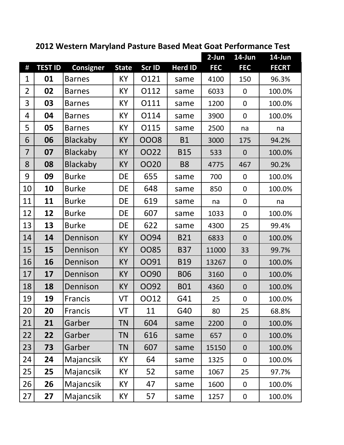|                | 2012 Western Maryland Pasture Based Meat Goat Performance Test |                  |              |        |                |            |                  |              |  |
|----------------|----------------------------------------------------------------|------------------|--------------|--------|----------------|------------|------------------|--------------|--|
|                |                                                                |                  |              |        |                | $2-Jun$    | 14-Jun           | 14-Jun       |  |
| $\#$           | <b>TEST ID</b>                                                 | <b>Consigner</b> | <b>State</b> | Scr ID | <b>Herd ID</b> | <b>FEC</b> | <b>FEC</b>       | <b>FECRT</b> |  |
| 1              | 01                                                             | <b>Barnes</b>    | KY           | 0121   | same           | 4100       | 150              | 96.3%        |  |
| $\overline{2}$ | 02                                                             | <b>Barnes</b>    | KY           | O112   | same           | 6033       | $\boldsymbol{0}$ | 100.0%       |  |
| 3              | 03                                                             | <b>Barnes</b>    | KY           | 0111   | same           | 1200       | $\mathbf 0$      | 100.0%       |  |
| 4              | 04                                                             | <b>Barnes</b>    | KY           | O114   | same           | 3900       | $\boldsymbol{0}$ | 100.0%       |  |
| 5              | 05                                                             | <b>Barnes</b>    | KY           | O115   | same           | 2500       | na               | na           |  |
| 6              | 06                                                             | <b>Blackaby</b>  | KY           | 0008   | <b>B1</b>      | 3000       | 175              | 94.2%        |  |
| $\overline{7}$ | 07                                                             | <b>Blackaby</b>  | KY           | 0022   | <b>B15</b>     | 533        | $\overline{0}$   | 100.0%       |  |
| 8              | 08                                                             | <b>Blackaby</b>  | <b>KY</b>    | 0020   | <b>B8</b>      | 4775       | 467              | 90.2%        |  |
| 9              | 09                                                             | <b>Burke</b>     | DE           | 655    | same           | 700        | $\overline{0}$   | 100.0%       |  |
| 10             | 10                                                             | <b>Burke</b>     | DE           | 648    | same           | 850        | $\mathbf 0$      | 100.0%       |  |
| 11             | 11                                                             | <b>Burke</b>     | DE           | 619    | same           | na         | $\boldsymbol{0}$ | na           |  |
| 12             | 12                                                             | <b>Burke</b>     | DE           | 607    | same           | 1033       | $\boldsymbol{0}$ | 100.0%       |  |
| 13             | 13                                                             | <b>Burke</b>     | DE           | 622    | same           | 4300       | 25               | 99.4%        |  |
| 14             | 14                                                             | Dennison         | KY           | 0094   | <b>B21</b>     | 6833       | $\overline{0}$   | 100.0%       |  |
| 15             | 15                                                             | Dennison         | <b>KY</b>    | 0085   | <b>B37</b>     | 11000      | 33               | 99.7%        |  |
| 16             | <b>16</b>                                                      | Dennison         | <b>KY</b>    | 0091   | <b>B19</b>     | 13267      | $\mathbf{0}$     | 100.0%       |  |
| 17             | 17                                                             | Dennison         | KY           | OO90   | <b>B06</b>     | 3160       | $\overline{0}$   | 100.0%       |  |
| 18             | 18                                                             | Dennison         | <b>KY</b>    | 0092   | <b>B01</b>     | 4360       | $\boldsymbol{0}$ | 100.0%       |  |
| 19             | 19                                                             | Francis          | VT           | 0012   | G41            | 25         | $\boldsymbol{0}$ | 100.0%       |  |
| 20             | 20                                                             | Francis          | VT           | 11     | G40            | 80         | 25               | 68.8%        |  |
| 21             | 21                                                             | Garber           | <b>TN</b>    | 604    | same           | 2200       | $\boldsymbol{0}$ | 100.0%       |  |
| 22             | 22                                                             | Garber           | <b>TN</b>    | 616    | same           | 657        | $\mathbf 0$      | 100.0%       |  |
| 23             | 73                                                             | Garber           | <b>TN</b>    | 607    | same           | 15150      | $\mathbf 0$      | 100.0%       |  |
| 24             | 24                                                             | Majancsik        | KY           | 64     | same           | 1325       | $\boldsymbol{0}$ | 100.0%       |  |
| 25             | 25                                                             | Majancsik        | KY           | 52     | same           | 1067       | 25               | 97.7%        |  |
| 26             | 26                                                             | Majancsik        | KY           | 47     | same           | 1600       | $\boldsymbol{0}$ | 100.0%       |  |
| 27             | 27                                                             | Majancsik        | KY           | 57     | same           | 1257       | $\boldsymbol{0}$ | 100.0%       |  |